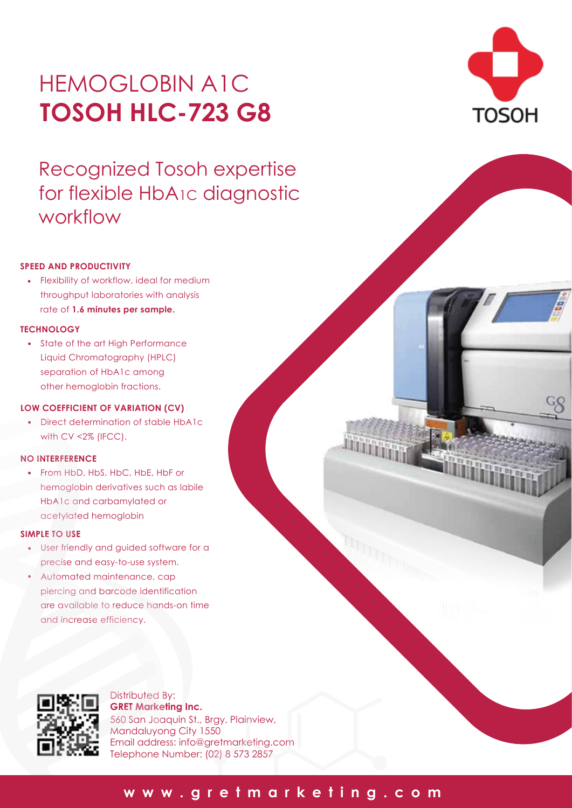# HEMOGLOBIN A1C **TOSOH HLC-723 G8**

Recognized Tosoh expertise for flexible HbA1c diagnostic workflow



• Flexibility of workflow, ideal for medium throughput laboratories with analysis rate of **1.6 minutes per sample.**

#### **TECHNOLOGY**

• State of the art High Performance Liquid Chromatography (HPLC) separation of HbA1c among other hemoglobin fractions.

#### **LOW COEFFICIENT OF VARIATION (CV)**

• Direct determination of stable HbA1c with CV <2% (IFCC).

#### **NO INTERFERENCE**

• From HbD, HbS, HbC, HbE, HbF or hemoglobin derivatives such as labile HbA1c and carbamylated or acetylated hemoglobin

#### **SIMPLE TO USE**

- User friendly and guided software for a precise and easy-to-use system.
- Automated maintenance, cap piercing and barcode identification are available to reduce hands-on time and increase efficiency. •



Distributed By: **GRET Marketing Inc.** 560 San Joaquin St., Brgy. Plainview, Mandaluyong City 1550 Email address: info@gretmarketing.com Telephone Number: (02) 8 573 2857



# **www.gretmarketing.com**